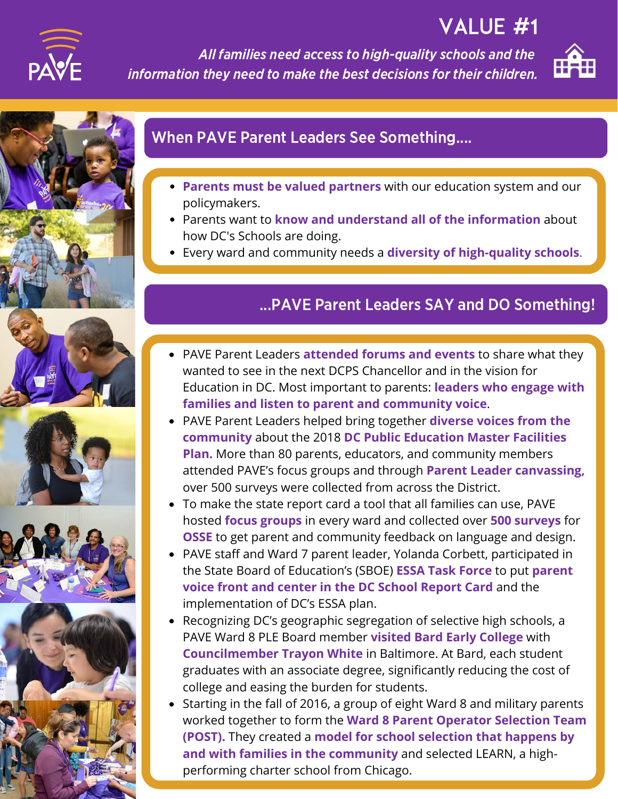

VALUE #1

All families need access to high-quality schools and the information they need to make the best decisions for their children.











### When PAVE Parent Leaders See Something....

- **Parents must be valued partners** with our education system and our policymakers.
- Parents want to **know and understand all of the information** about how DC's Schools are doing.
- Every ward and community needs a **diversity of high-quality schools**.

## ...PAVE Parent Leaders SAY and DO Something!

- watcome the PAVE Parent Leaders **attended forums and events** to share what they PAVE Parent Leaders **attended forums and events** to share what they wanted to see in the next DCPS Chancellor and in the vision for Education in DC. Most important to parents: **leaders who engage with listen to parent and community voice**. **families and listen to parent and community voice**.
- PAVE Parent Leaders helped bring together **diverse voices from the** PAVE Parent Leaders helped bring together **diverse voices from the community** about the 2018 **DC Public Education Master Facilities Plan.** More than 80 parents, educators, and community members attended PAVE's focus groups and through **Parent Leader canvassing,** over 500 surveys were collected from across the District.
- To make the state report card a tool that all families can use, PAVE **focus groups** in every ward and collected over **500 surveys** for **OSSE** to get parent and community feedback on language and design.
- PAVE staff and Ward 7 parent leader, Yolanda Corbett, participated in State Board of Education's (SBOE) **ESSA Task Force** to put **parent voice** the State Board of Education's (SBOE) **ESSA Task Force** to put **parent front and center in the DC School Report Card** and the implementation of DC's ESSA plan.
- Recognizing DC's geographic segregation of selective high schools, a PAVE Ward 8 PLE Board member **visited Bard Early College** with **Councilmember Trayon White** in Baltimore. At Bard, each student graduates with an associate degree, significantly reducing the cost of college and easing the burden for students.
- **WHAT'S NEXT** worked together to form the **Ward 8 Parent Operator Selection Team** worked together to form the **Ward 8 Parent Operator Selection Team** Starting in the fall of 2016, a group of eight Ward 8 and military parents Starting in the fall of 2016, a group of eight Ward 8 and military parents **(POST).** They created a **model for school selection that happens by and with families in the community** and selected LEARN, a highperforming charter school from Chicago.